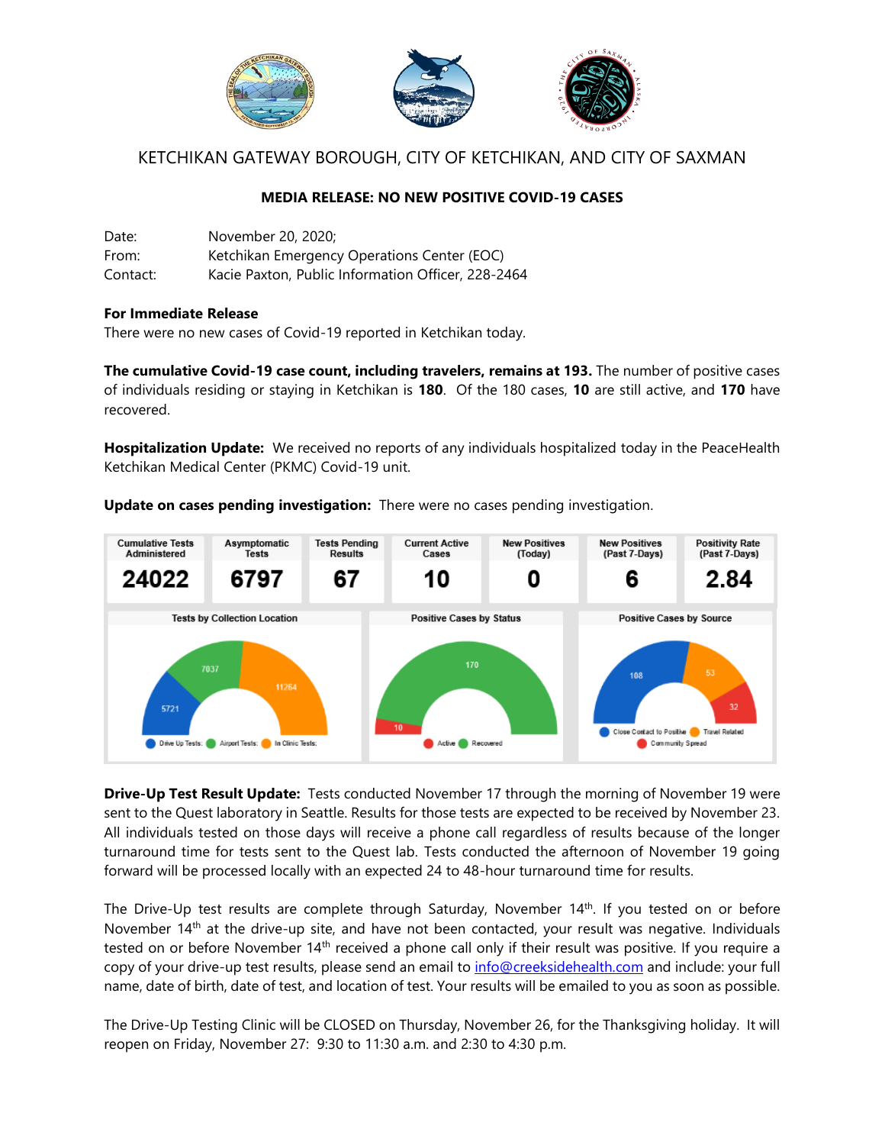

# KETCHIKAN GATEWAY BOROUGH, CITY OF KETCHIKAN, AND CITY OF SAXMAN

## **MEDIA RELEASE: NO NEW POSITIVE COVID-19 CASES**

| Date:    | November 20, 2020:                                 |
|----------|----------------------------------------------------|
| From:    | Ketchikan Emergency Operations Center (EOC)        |
| Contact: | Kacie Paxton, Public Information Officer, 228-2464 |

#### **For Immediate Release**

There were no new cases of Covid-19 reported in Ketchikan today.

**The cumulative Covid-19 case count, including travelers, remains at 193.** The number of positive cases of individuals residing or staying in Ketchikan is **180**. Of the 180 cases, **10** are still active, and **170** have recovered.

**Hospitalization Update:** We received no reports of any individuals hospitalized today in the PeaceHealth Ketchikan Medical Center (PKMC) Covid-19 unit.

**Update on cases pending investigation:** There were no cases pending investigation.



**Drive-Up Test Result Update:** Tests conducted November 17 through the morning of November 19 were sent to the Quest laboratory in Seattle. Results for those tests are expected to be received by November 23. All individuals tested on those days will receive a phone call regardless of results because of the longer turnaround time for tests sent to the Quest lab. Tests conducted the afternoon of November 19 going forward will be processed locally with an expected 24 to 48-hour turnaround time for results.

The Drive-Up test results are complete through Saturday, November 14<sup>th</sup>. If you tested on or before November 14<sup>th</sup> at the drive-up site, and have not been contacted, your result was negative. Individuals tested on or before November 14<sup>th</sup> received a phone call only if their result was positive. If you require a copy of your drive-up test results, please send an email to [info@creeksidehealth.com](mailto:info@creeksidehealth.com) and include: your full name, date of birth, date of test, and location of test. Your results will be emailed to you as soon as possible.

The Drive-Up Testing Clinic will be CLOSED on Thursday, November 26, for the Thanksgiving holiday. It will reopen on Friday, November 27: 9:30 to 11:30 a.m. and 2:30 to 4:30 p.m.